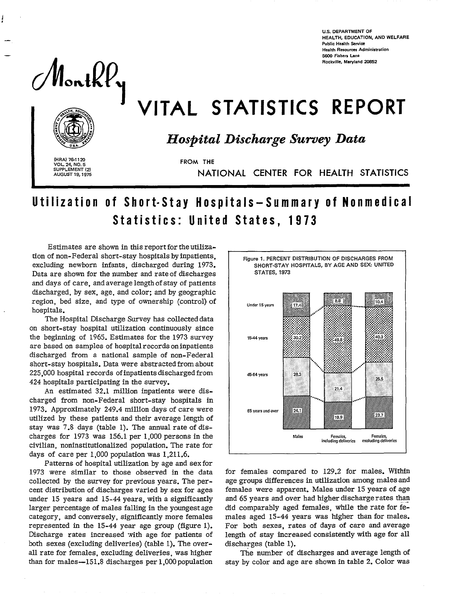**U.S. DEPARTMENT OF HEALTH, EDUCATION. AND WELFARE Public Health Service Health Resources Administration s64D fishers Lane Rockville, Maryland 2@52** 

 $M$ ont $kV$ y

—

# VITAL STATISTICS REPORT

## *Hospital Discharge Survey Data*

**(HRA) 761120 VOL 24, NO. 5 SUPPLEMENT (21 AUGUST 19,1975** 

**FROM THE** 

NATIONAL CENTER FOR HEALTH STATISTICS

# Utilization of Short-Stay Hospitals—Summary of Nonmedic Statistics: United States, 1973

Estimates are shown in this report for the utiliza. tion of non-Federal short-stay hospitals by inpatient: excluding newborn infants, discharged during 1973. Data are shown for the number and rate of discharges and days of care, and average length of stay of patients discharged, by sex, age, and color; and by geographic region, bed size, and type of ownership (control) of hospitals.

The Hospital Discharge Survey has collected data on short-stay hospital utilization continuously since the beginning of 1965. Estimates for the 1973 survey are based on samples of hospital records oninpatients discharged from a national sample of non-Federal short-stay hospitals. Data were abstracted from about 225,000 hospital records of inpatients discharged from 424 hospitals participating in the survey.

An estimated 32.1 million inpatients were discharged from non-Federal short-stay hospitals in 1973. Approximately 249.4 million days of care were utiIized by these patients and their average length of stay was 7.8 days (table 1). The annual rate of discharges for 1973 was 156.1 per 1,000 persons in the civilian, noninstitutionalized population. The rate for days of care per 1,000 population was 1,211.6.

Patterns of hospital utilization by age and sex for 1973 were similar to those observed in the data collected by the survey for previous years. The percent distribution of discharges varied by sex for ages under 15 years and 15-44 years, with a significantly larger percentage of males falling in the youngest age category, and conversely, significantly more females represented in the 15-44 year age group (figure 1). Discharge rates increased with age for patients of both sexes (excluding deliveries) (table 1). The overall rate for females, excluding deliveries, was higher than for males $-151.8$  discharges per  $1,000$  population



for females compared to 129.2 for males. Within age groups differences in utilization among males and females were apparent. Males under 15 years of age and 65 years and over had higher discharge rates than did comparably aged females, while the rate for females aged 15-44 years was higher than for males. For both sexes, rates of days of care and average length of stay increased consistently with age for all discharges (table 1).

The number of discharges and average length of stay by color and age are shown in table 2. Color was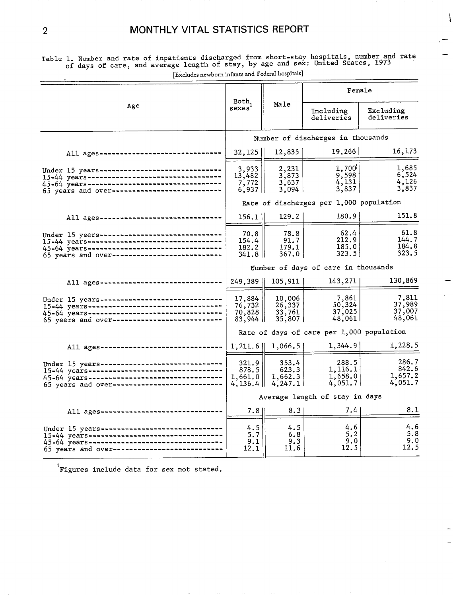| $\mu$                                                                                                                                                                                             |                                           |                                       |                                         |                                      |  |
|---------------------------------------------------------------------------------------------------------------------------------------------------------------------------------------------------|-------------------------------------------|---------------------------------------|-----------------------------------------|--------------------------------------|--|
|                                                                                                                                                                                                   | Both,                                     |                                       | Female                                  |                                      |  |
| Age                                                                                                                                                                                               | sexes                                     | Male                                  | Including<br>deliveries                 | Excluding<br>deliveries              |  |
|                                                                                                                                                                                                   |                                           |                                       | Number of discharges in thousands       |                                      |  |
| All ages -------------------------------                                                                                                                                                          | 32, 125                                   | 12,835                                | 19,266                                  | 16,173                               |  |
| Under 15 years-------------------------------<br>15-44 years--------------------------------<br>45-64 years----------------------------------<br>65 years and over-------------------------       | 3,933<br>13,482<br>7,772<br>$6,937$       | 2,231<br>3,873<br>3,637<br>3,094      | 1,700<br>9,598<br>4,131<br>3,837        | 1,685<br>6,524<br>4,126<br>3,837     |  |
|                                                                                                                                                                                                   |                                           |                                       | Rate of discharges per 1,000 population |                                      |  |
| All ages ---------------------------                                                                                                                                                              | 156.1                                     | 129.2                                 | 180.9                                   | 151.8                                |  |
| Under 15 years-----------------------------<br>15-44 years----------------------------------<br>45-64 years-----------------------------------<br>65 years and over----------------------------   | 70.8<br>154.4<br>182.2<br>$341.8$         | 78.8<br>91.7<br>179.1<br>367.0        | 62.4<br>212.9<br>185.0<br>323.5         | 61.8<br>144.7<br>184.8<br>323.5      |  |
|                                                                                                                                                                                                   | Number of days of care in thousands       |                                       |                                         |                                      |  |
| All ages -------------------------------                                                                                                                                                          | $249,389$                                 | 105,911                               | 143,271                                 | 130,869                              |  |
| Under 15 years--------------------------------<br>15-44 years-----------------------------------<br>45-64 years----------------------------------<br>65 years and over--------------------------- | 17,884<br>76,732<br>70,828<br>$83,944$    | 10,006<br>26,337<br>33,761<br>35,807  | 7,861<br>50,324<br>37,025<br>48,0611    | 7.811<br>37,989<br>37,007<br>48,061  |  |
|                                                                                                                                                                                                   | Rate of days of care per 1,000 population |                                       |                                         |                                      |  |
| All ages ----------------------------                                                                                                                                                             | 1,211.6                                   | 1,066.5                               | 1,344.9                                 | 1,228.5                              |  |
| Under 15 years--------------------------------<br>15-44 years----------------------------------<br>45-64 years----------------------------------<br>65 years and over---------------------------- | 321.9<br>878.5<br>1,661.0<br>$4,136.4$    | 353.4<br>623.3<br>1,662.3<br>4, 247.1 | 288.5<br>1,116.1<br>1,658.0<br>4,051,7  | 286.7<br>842.6<br>1,657.2<br>4,051.7 |  |
|                                                                                                                                                                                                   |                                           |                                       | Average length of stay in days          |                                      |  |
| All ages --------------------------------                                                                                                                                                         | 7.8                                       | 8.3                                   | 7.4 <sub>1</sub>                        | 8.1                                  |  |
| Under 15 years-------------------------------<br>65 years and over---------------------------                                                                                                     | 4.5<br>5.7<br>9.1<br>12.1                 | 4.5<br>6.8<br>9.3<br>11.6             | 4.6<br>5.2<br>9.0<br>12.5               | 4.6<br>5.8<br>9.0<br>12.5            |  |

Table 1. Number and rate of inpatients discharged from short-stay hospitals, number and rate of days of care, and average length of stay, by age and sex: United States, 1973 [Excludes newborn infants and Federal hospitals]

 $\mathbf{I}$ 

—

"— —

<sup>'</sup>Figures include data for sex not stated.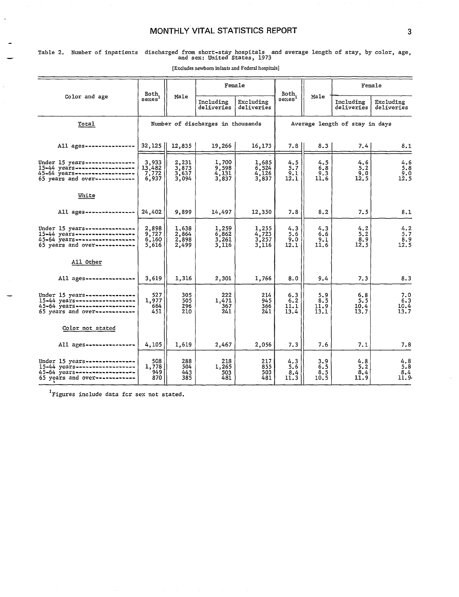#### **MONTHLY VITAL STATISTICS REPORT 3 3**

## Table 2, Number of inpatients discharged frem short-stay hospitals and average length of stay, by color, age, and sex: United States, 1973

|                                                                                                                                    | Both,                             |                                      | Female                             |                                      | Both,                       |                                                          | Female                     |                                         |  |
|------------------------------------------------------------------------------------------------------------------------------------|-----------------------------------|--------------------------------------|------------------------------------|--------------------------------------|-----------------------------|----------------------------------------------------------|----------------------------|-----------------------------------------|--|
| Color and age                                                                                                                      | sexes'                            | Male                                 | Including<br>deliveries            | Excluding<br>deliveries              | sexes'                      | Male                                                     | Including<br>deliveries    | Excluding<br>deliveries                 |  |
| Total                                                                                                                              |                                   |                                      | Number of discharges in thousands  |                                      |                             | Average length of stay in days                           |                            |                                         |  |
| All ages----------------                                                                                                           | 32,125                            | 12,835                               | 19,266                             | 16,173                               | $7.8$                       | 8.3                                                      | 7.4                        | 8.1                                     |  |
| Under 15 years ----------------<br>15-44 years-------------------<br>45-64 years---------------<br>65 years and over------------   | 3,933<br>13,482<br>7,772<br>6,937 | 2,231<br>$3,873$<br>$3,637$<br>3,094 | 1,700<br>$9,598$<br>4,131<br>3,837 | 1,685<br>6,524<br>4,126<br>3,837     | 4.5<br>$5.7$<br>9.1<br>12.1 | 4.5<br>$\begin{array}{c} 6.8 \\ 9.3 \\ 11.6 \end{array}$ | 4.6<br>5.2<br>9.0<br>12.5  | 4.6<br>5.8<br>9.0<br>12.5               |  |
| White                                                                                                                              |                                   |                                      |                                    |                                      |                             |                                                          |                            |                                         |  |
| All ages -----------                                                                                                               | 24,402                            | 9,899                                | 14,497                             | 12,350                               | 7.8                         | 8, 2                                                     | 7.5                        | 8.1                                     |  |
| Under 15 years---------------<br>$15 - 44$ years------------------<br>45-64 years----------------<br>65 years and over------------ | 2,898<br>9,727<br>6,160<br>5,616  | 1,638<br>2,864<br>2,898<br>2,499     | 1,259<br>6,862<br>3,261<br>3,116   | 1,255<br>4,723<br>$3,257$<br>$3,116$ | 4.3<br>5.6<br>9.0<br>12.1   | 4.3<br>6.6<br>9.1<br>11.6                                | 4.2<br>5.2<br>8.9<br>12.5  | $\frac{4.2}{5.7}$<br>$\frac{8.9}{12.5}$ |  |
| All Other                                                                                                                          |                                   |                                      |                                    |                                      |                             |                                                          |                            |                                         |  |
| All ages -------------                                                                                                             | 3,619                             | 1,316                                | 2,301                              | 1,766                                | 8.0                         | 9.4                                                      | 7.3                        | 8.3                                     |  |
| Under $15$ years------------<br>15-44 years-------------------<br>45-64 years--<br>65 years and over-------------                  | 527<br>1,977<br>664<br>451        | 305<br>505<br>296<br>210             | 222<br>1,471<br>367<br>241         | 214<br>945<br>366<br>241             | 6.3<br>6.2<br>11.1<br>13.4  | 5.9<br>8.5<br>11.9<br>13.1                               | 6.8<br>5.5<br>10.4<br>13.7 | 7.0<br>6.3<br>10.4<br>13.7              |  |
| Color not stated                                                                                                                   |                                   |                                      |                                    |                                      |                             |                                                          |                            |                                         |  |
| All ages----------------                                                                                                           | 4,105                             | 1,619                                | 2,467                              | 2,056                                | 7.3                         | 7.6                                                      | 7.1                        | 7.8                                     |  |
| Under 15 years-----------<br>15-44 years-------------------<br>45-64 years---------------<br>65 years and over------------         | 508<br>1,778<br>949<br>870        | 288<br>504<br>443<br>385             | 218<br>1,265<br>503<br>481         | 217<br>855<br>503<br>481             | 4.3<br>5.6<br>8.4<br>11.3   | $3.9$<br>6.5<br>8.5<br>10.5                              | 4.8<br>5.2<br>8,4<br>11.9  | $4.8$<br>5.8<br>8.4<br>11.9             |  |

[Excludes newborn infants and Federal hospitals]

<sup>1</sup>Figures include data for sex not stated.

—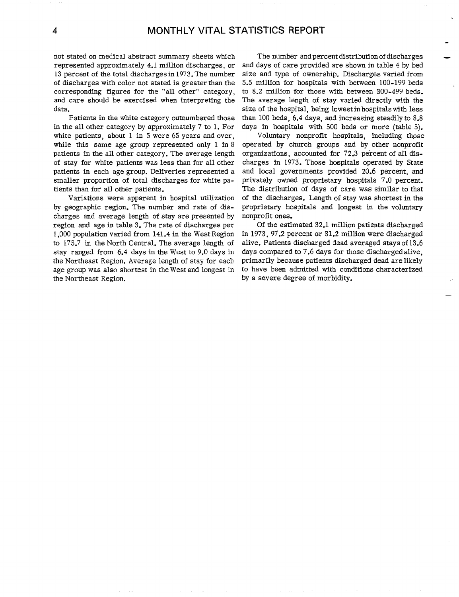not stated on medical abstract summary sheets which represented approximately 4.1 million discharges, or 13 percent of the total discharges in 1973. The number of discharges with color not stated is greater than the corresponding figures for the "all other" category, and care should be exercised when interpreting the data.

Patients in the white category outnumbered those in the all other category by approximately  $7$  to 1. For white patients, about 1 in 5 were 65 years and over, while this same age group represented only 1 in 8 patients in the all other category. The average length of stay for white patients was less than for all other patients in each age group. Deliveries represented a smaller proportion of total discharges for white patients than for all other patients.

Variations were apparent in hospital utilization by geographic region. The number and rate of discharges and average length of stay are presented by region and age in table 3. The rate of discharges per l, OOOpopulation varied from 141.4 in the West Region to 175.7 in the North Central. The average length of stay ranged from 6.4 days in the West to 9.0 days in the Northeast Region. Average length of stay for each age group was also shortest in the Westand longest in the Northeast Region.

The number and percent distribution of discharges and days of care provided are shown in table 4 by bed size and type of ownership. Discharges varied from 5.5 million for hospitals with between 100-199 beds to 8.2 million for those with between 300-499 beds. The average length of stay varied directly with the size of the hospital, being lowest inhospitalswith less than 100 beds,  $6.4$  days, and increasing steadily to  $8.8$ days in hospitals with 500 beds or more (table 5). .

—

Voluntary nonprofit hospitals, including those operated by church groups and by other nonprofit organizations, accounted for 72.3 percent of all discharges in 1973. Those hospitals operated by State and local governments provided 20.6 percent, and privately owned proprietary hospitals 7.0 percent. The distribution of days of care was similar to that of the discharges. Length of stay was shortest in the proprietary hospitals and longest in the voluntary nonprofit ones.

Of the estimated 32.1 million patients discharged in 1973, 97.2 percent or 31.2 million were discharged alive. Patients discharged dead averaged stays of 13.6 days compared to 7.6 days for those discharged alive, primarily because patients discharged dead are likely to have been admitted with conditions characterized by a severe degree of morbidity.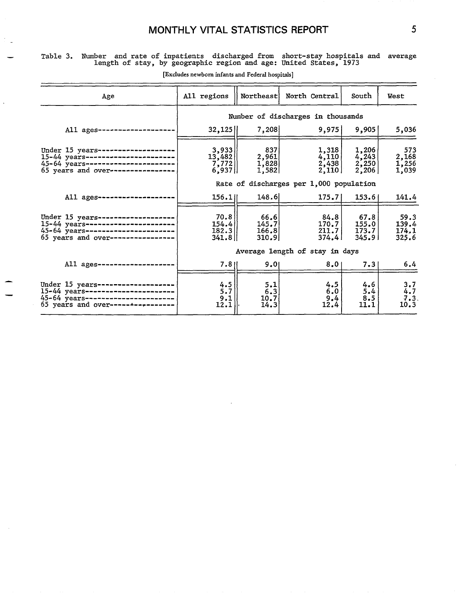### **MONTHLY VITAL STATISTICS REPORT**

#### — Table 3. Number and rate of inpatients discharged from short-stay hospitals and length of stay, by geographic region and age: United states, 1973 average

| Age                                                                                                                                    | All regions                           | Northeast                                                     | North Central                           | South                                                           | <b>West</b>                     |
|----------------------------------------------------------------------------------------------------------------------------------------|---------------------------------------|---------------------------------------------------------------|-----------------------------------------|-----------------------------------------------------------------|---------------------------------|
|                                                                                                                                        | Number of discharges in thousands     |                                                               |                                         |                                                                 |                                 |
| All $a$ ges-----------                                                                                                                 | $32,125$                              | 7,208                                                         | 9,975                                   | 9,905                                                           | 5,036                           |
| Under $15$ years----------<br>$15-44$ years----------------<br>45-64 years---------------<br>65 years and over----------------         | 3,933<br>13,482<br>7,772<br>$6,937$   | 837<br>$\begin{array}{c} 2,961 \\ 1,828 \end{array}$<br>1,582 | 1,318<br>4,110<br>2,438<br>2,110        | 1,206<br>$\begin{array}{c} 4,243 \\ 2,250 \end{array}$<br>2,206 | 573<br>2,168<br>1,256<br>1,039  |
|                                                                                                                                        |                                       |                                                               | Rate of discharges per 1,000 population |                                                                 |                                 |
| All ages --------                                                                                                                      | 156.1                                 | 148.6                                                         | 175.7                                   | 153.6                                                           | 141.4                           |
| Under $15$ years-----------<br>15-44 years---------------------<br>45-64 years----------------------<br>65 years and over------------- | 70.8<br>154.4<br>$182.3$  <br>$341.8$ | 66.6<br>145.7<br>166, 8<br>310.9                              | 84.8<br>170.7<br>211.7<br>374.4         | 67.8<br>155.0<br>173.7<br>345.91                                | 59.3<br>139.4<br>174.1<br>325.6 |
|                                                                                                                                        | Average length of stay in days        |                                                               |                                         |                                                                 |                                 |
| All $a$ ges----------                                                                                                                  | 7.811                                 | 9.01                                                          | 8.01                                    | 7.31                                                            | 6.4                             |
| Under 15 years------------<br>15-44 years-------------------<br>45-64 years------------------<br>65 years and over-------------        | $\frac{4.5}{5.7}$<br>9.1<br>12.1      | 5.1<br>6.3<br>10.7<br>14.3                                    | 4.5<br>6.0<br>9,4<br>12.4               | 4.6<br>5.4<br>8.5<br>11.1                                       | 3.7<br>4.7<br>7.3.<br>10.3      |

**[Excludes newborn infants and Federal hospitals]** 

J.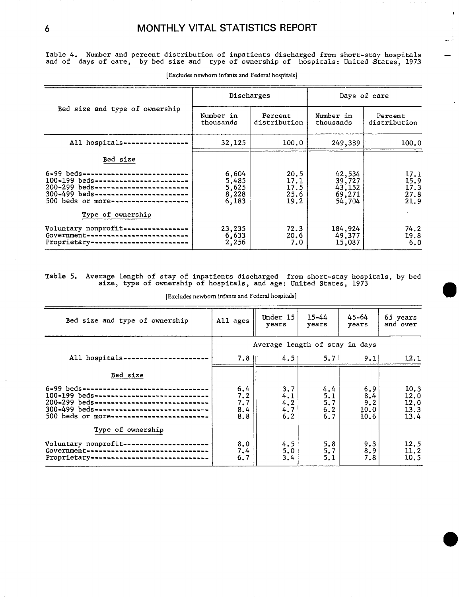$\bar{t}$ 

u∄

Table 4. Number and percent distribution of inpatients discharged from short-stay hospitals and of days of care, by bed size and type of ownership of hospitals: United States, 1973

|                                                                                                                                                                                                          | Discharges                                |                                      | Days of care                                   |                                      |  |
|----------------------------------------------------------------------------------------------------------------------------------------------------------------------------------------------------------|-------------------------------------------|--------------------------------------|------------------------------------------------|--------------------------------------|--|
| Bed size and type of ownership                                                                                                                                                                           | Number in<br>thousands                    | Percent<br>distribution              | Number in<br>thousands                         | Percent<br>distribution              |  |
| All hospitals-                                                                                                                                                                                           | 32,125                                    | 100.0                                | 249,389                                        | 100.0                                |  |
| Bed size                                                                                                                                                                                                 |                                           |                                      |                                                |                                      |  |
| 6-99 beds-------------------------<br>$100 - 199$ beds-------------------------<br>200-299 beds-------------------------<br>300-499 beds-------------------------<br>500 beds or more------------------- | 6,604<br>5,485<br>5,625<br>8,228<br>6,183 | 20.5<br>17.1<br>17.5<br>25.6<br>19.2 | 42,534<br>39,727<br>43,152<br>69,271<br>54,704 | 17.1<br>15.9<br>17.3<br>27.8<br>21.9 |  |
| Type of ownership                                                                                                                                                                                        |                                           |                                      |                                                |                                      |  |
| Voluntary nonprofit----------------<br>Government--------------------------<br>Proprietary-                                                                                                              | 23,235<br>6,633<br>2,256                  | 72.3<br>20.6<br>7.0                  | 184,924<br>49,377<br>15,087                    | 74.2<br>19.8<br>6.0                  |  |

[Excludes newborn infants and Federal hospitals]

## Table 5. Average length of stay of inpatients discharged from short-stay hospitals, by bed size, type of ownership of hospitals, and age: United States, 1973

[Excludes newborn infants and Federal hospitals]

| Bed size and type of ownership                                                                                                                                                                                  | All ages                        | Under 15<br>years               | $15 - 44$<br>years              | $45 - 64$<br>years                | 65 years<br>and over                 |
|-----------------------------------------------------------------------------------------------------------------------------------------------------------------------------------------------------------------|---------------------------------|---------------------------------|---------------------------------|-----------------------------------|--------------------------------------|
|                                                                                                                                                                                                                 | Average length of stay in days  |                                 |                                 |                                   |                                      |
| All hospitals-                                                                                                                                                                                                  | $7.8$ II                        | 4.51                            | 5.7                             | 9.1                               | 12.1                                 |
| Bed size                                                                                                                                                                                                        |                                 |                                 |                                 |                                   |                                      |
| 6-99 beds------------------<br>100-199 beds------------------------------<br>200-299 beds------------------------------<br>300-499 beds-----------------------------<br>500 beds or more----------------------- | 6.4<br>7.2<br>7.7<br>8.4<br>8.8 | 3.7<br>4.1<br>4.2<br>4.7<br>6.2 | 4.4<br>5.1<br>5.7<br>6.2<br>6.7 | 6.9<br>8.4<br>9.2<br>10.0<br>10.6 | 10.3<br>12.0<br>12.0<br>13.3<br>13.4 |
| Type of ownership<br>Voluntary nonprofit-------------------<br>Government--------------------------------<br>Proprietary -------------------------------                                                        | 8.0<br>7.4<br>6.7               | 4.5<br>5.0<br>3.4               | 5.8<br>5.7<br>5.1               | 9.3<br>8.9<br>7.8                 | 12.5<br>11.2<br>10.5                 |